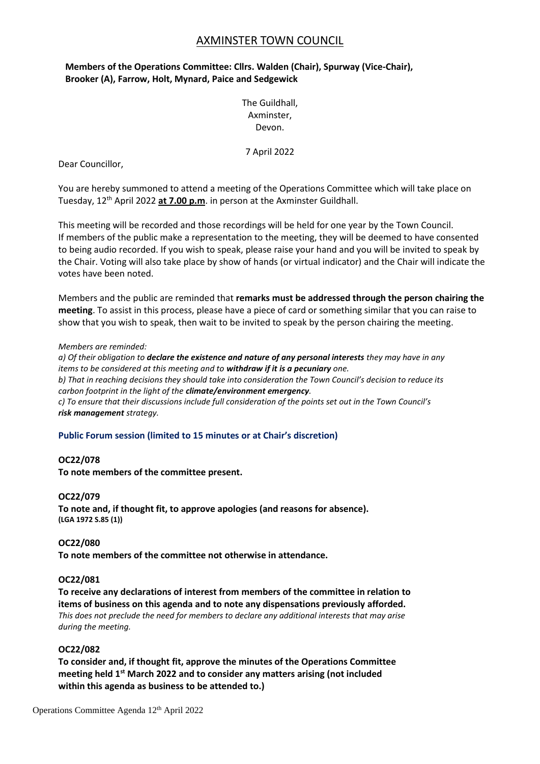# AXMINSTER TOWN COUNCIL

# **Members of the Operations Committee: Cllrs. Walden (Chair), Spurway (Vice-Chair), Brooker (A), Farrow, Holt, Mynard, Paice and Sedgewick**

The Guildhall, Axminster, Devon.

7 April 2022

Dear Councillor,

You are hereby summoned to attend a meeting of the Operations Committee which will take place on Tuesday, 12th April 2022 **at 7.00 p.m**. in person at the Axminster Guildhall.

This meeting will be recorded and those recordings will be held for one year by the Town Council. If members of the public make a representation to the meeting, they will be deemed to have consented to being audio recorded. If you wish to speak, please raise your hand and you will be invited to speak by the Chair. Voting will also take place by show of hands (or virtual indicator) and the Chair will indicate the votes have been noted.

Members and the public are reminded that **remarks must be addressed through the person chairing the meeting**. To assist in this process, please have a piece of card or something similar that you can raise to show that you wish to speak, then wait to be invited to speak by the person chairing the meeting.

#### *Members are reminded:*

*a) Of their obligation to declare the existence and nature of any personal interests they may have in any items to be considered at this meeting and to withdraw if it is a pecuniary one. b) That in reaching decisions they should take into consideration the Town Council's decision to reduce its carbon footprint in the light of the climate/environment emergency. c) To ensure that their discussions include full consideration of the points set out in the Town Council's risk management strategy.*

### **Public Forum session (limited to 15 minutes or at Chair's discretion)**

#### **OC22/078**

**To note members of the committee present.**

#### **OC22/079**

**To note and, if thought fit, to approve apologies (and reasons for absence). (LGA 1972 S.85 (1))**

#### **OC22/080**

**To note members of the committee not otherwise in attendance.**

#### **OC22/081**

**To receive any declarations of interest from members of the committee in relation to items of business on this agenda and to note any dispensations previously afforded.** *This does not preclude the need for members to declare any additional interests that may arise during the meeting.*

#### **OC22/082**

**To consider and, if thought fit, approve the minutes of the Operations Committee meeting held 1 st March 2022 and to consider any matters arising (not included within this agenda as business to be attended to.)**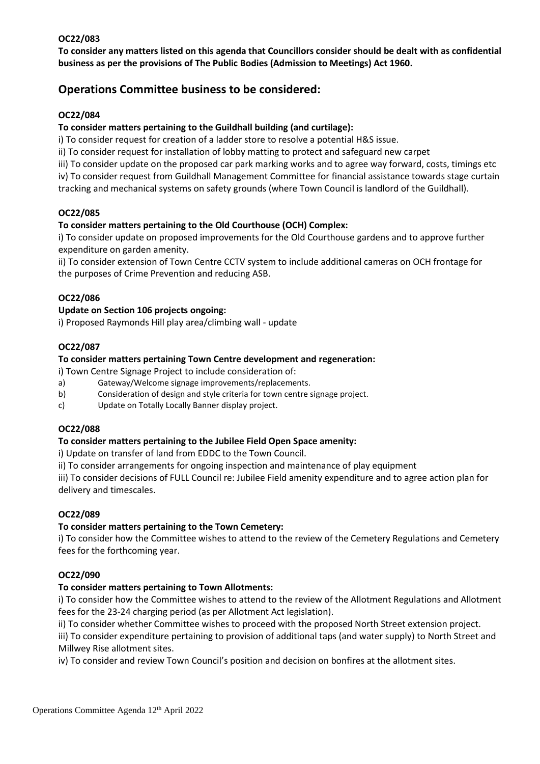# **OC22/083**

**To consider any matters listed on this agenda that Councillors consider should be dealt with as confidential business as per the provisions of The Public Bodies (Admission to Meetings) Act 1960.**

# **Operations Committee business to be considered:**

# **OC22/084**

### **To consider matters pertaining to the Guildhall building (and curtilage):**

i) To consider request for creation of a ladder store to resolve a potential H&S issue.

ii) To consider request for installation of lobby matting to protect and safeguard new carpet

iii) To consider update on the proposed car park marking works and to agree way forward, costs, timings etc

iv) To consider request from Guildhall Management Committee for financial assistance towards stage curtain tracking and mechanical systems on safety grounds (where Town Council is landlord of the Guildhall).

# **OC22/085**

# **To consider matters pertaining to the Old Courthouse (OCH) Complex:**

i) To consider update on proposed improvements for the Old Courthouse gardens and to approve further expenditure on garden amenity.

ii) To consider extension of Town Centre CCTV system to include additional cameras on OCH frontage for the purposes of Crime Prevention and reducing ASB.

# **OC22/086**

### **Update on Section 106 projects ongoing:**

i) Proposed Raymonds Hill play area/climbing wall - update

# **OC22/087**

### **To consider matters pertaining Town Centre development and regeneration:**

i) Town Centre Signage Project to include consideration of:

- a) Gateway/Welcome signage improvements/replacements.
- b) Consideration of design and style criteria for town centre signage project.
- c) Update on Totally Locally Banner display project.

### **OC22/088**

### **To consider matters pertaining to the Jubilee Field Open Space amenity:**

i) Update on transfer of land from EDDC to the Town Council.

ii) To consider arrangements for ongoing inspection and maintenance of play equipment

iii) To consider decisions of FULL Council re: Jubilee Field amenity expenditure and to agree action plan for delivery and timescales.

### **OC22/089**

### **To consider matters pertaining to the Town Cemetery:**

i) To consider how the Committee wishes to attend to the review of the Cemetery Regulations and Cemetery fees for the forthcoming year.

### **OC22/090**

# **To consider matters pertaining to Town Allotments:**

i) To consider how the Committee wishes to attend to the review of the Allotment Regulations and Allotment fees for the 23-24 charging period (as per Allotment Act legislation).

ii) To consider whether Committee wishes to proceed with the proposed North Street extension project.

iii) To consider expenditure pertaining to provision of additional taps (and water supply) to North Street and Millwey Rise allotment sites.

iv) To consider and review Town Council's position and decision on bonfires at the allotment sites.